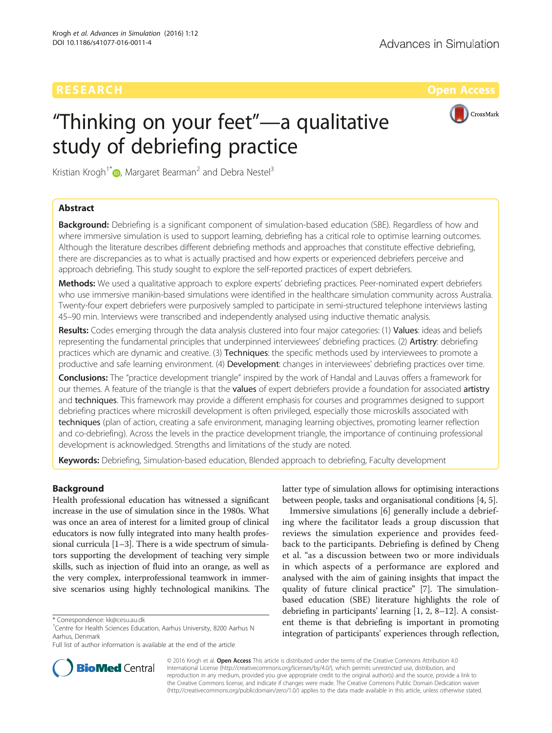# **RESEARCH CHILD CONTROL** CONTROL CONTROL CONTROL CONTROL CONTROL CONTROL CONTROL CONTROL CONTROL CONTROL CONTROL CONTROL CONTROL CONTROL CONTROL CONTROL CONTROL CONTROL CONTROL CONTROL CONTROL CONTROL CONTROL CONTROL CONTR

# "Thinking on your feet"—a qualitative study of debriefing practice



Kristian Krogh<sup>1[\\*](http://orcid.org/0000-0002-8490-1150)</sup> $\bullet$ , Margaret Bearman<sup>2</sup> and Debra Nestel<sup>3</sup>

# Abstract

**Background:** Debriefing is a significant component of simulation-based education (SBE). Regardless of how and where immersive simulation is used to support learning, debriefing has a critical role to optimise learning outcomes. Although the literature describes different debriefing methods and approaches that constitute effective debriefing, there are discrepancies as to what is actually practised and how experts or experienced debriefers perceive and approach debriefing. This study sought to explore the self-reported practices of expert debriefers.

Methods: We used a qualitative approach to explore experts' debriefing practices. Peer-nominated expert debriefers who use immersive manikin-based simulations were identified in the healthcare simulation community across Australia. Twenty-four expert debriefers were purposively sampled to participate in semi-structured telephone interviews lasting 45–90 min. Interviews were transcribed and independently analysed using inductive thematic analysis.

Results: Codes emerging through the data analysis clustered into four major categories: (1) Values: ideas and beliefs representing the fundamental principles that underpinned interviewees' debriefing practices. (2) **Artistry**: debriefing practices which are dynamic and creative. (3) Techniques: the specific methods used by interviewees to promote a productive and safe learning environment. (4) Development: changes in interviewees' debriefing practices over time.

Conclusions: The "practice development triangle" inspired by the work of Handal and Lauvas offers a framework for our themes. A feature of the triangle is that the values of expert debriefers provide a foundation for associated artistry and techniques. This framework may provide a different emphasis for courses and programmes designed to support debriefing practices where microskill development is often privileged, especially those microskills associated with techniques (plan of action, creating a safe environment, managing learning objectives, promoting learner reflection and co-debriefing). Across the levels in the practice development triangle, the importance of continuing professional development is acknowledged. Strengths and limitations of the study are noted.

Keywords: Debriefing, Simulation-based education, Blended approach to debriefing, Faculty development

# Background

Health professional education has witnessed a significant increase in the use of simulation since in the 1980s. What was once an area of interest for a limited group of clinical educators is now fully integrated into many health professional curricula [[1](#page-9-0)–[3](#page-9-0)]. There is a wide spectrum of simulators supporting the development of teaching very simple skills, such as injection of fluid into an orange, as well as the very complex, interprofessional teamwork in immersive scenarios using highly technological manikins. The

latter type of simulation allows for optimising interactions between people, tasks and organisational conditions [[4](#page-9-0), [5](#page-9-0)].

Immersive simulations [[6\]](#page-9-0) generally include a debriefing where the facilitator leads a group discussion that reviews the simulation experience and provides feedback to the participants. Debriefing is defined by Cheng et al. "as a discussion between two or more individuals in which aspects of a performance are explored and analysed with the aim of gaining insights that impact the quality of future clinical practice" [\[7](#page-9-0)]. The simulationbased education (SBE) literature highlights the role of debriefing in participants' learning [\[1](#page-9-0), [2](#page-9-0), [8](#page-9-0)–[12](#page-9-0)]. A consistent theme is that debriefing is important in promoting integration of participants' experiences through reflection,



© 2016 Krogh et al. Open Access This article is distributed under the terms of the Creative Commons Attribution 4.0 International License [\(http://creativecommons.org/licenses/by/4.0/](http://creativecommons.org/licenses/by/4.0/)), which permits unrestricted use, distribution, and reproduction in any medium, provided you give appropriate credit to the original author(s) and the source, provide a link to the Creative Commons license, and indicate if changes were made. The Creative Commons Public Domain Dedication waiver [\(http://creativecommons.org/publicdomain/zero/1.0/](http://creativecommons.org/publicdomain/zero/1.0/)) applies to the data made available in this article, unless otherwise stated.

<sup>\*</sup> Correspondence: [kk@cesu.au.dk](mailto:kk@cesu.au.dk) <sup>1</sup>

<sup>&</sup>lt;sup>1</sup> Centre for Health Sciences Education, Aarhus University, 8200 Aarhus N Aarhus, Denmark

Full list of author information is available at the end of the article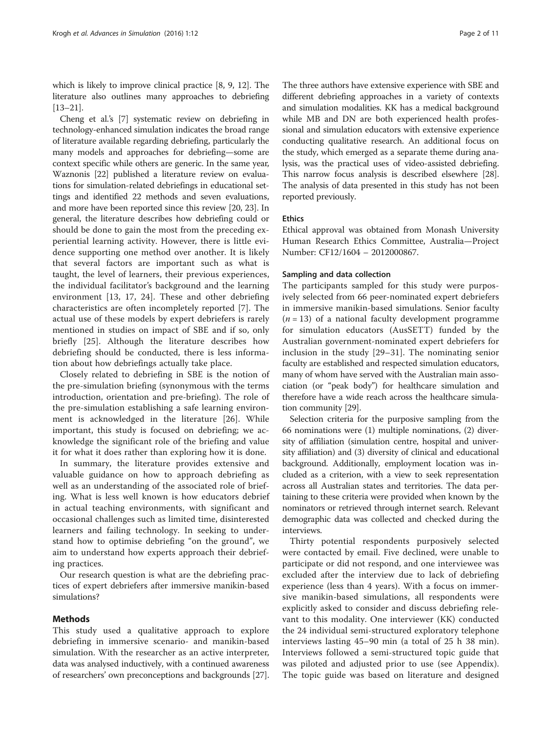which is likely to improve clinical practice [[8, 9, 12](#page-9-0)]. The literature also outlines many approaches to debriefing [[13](#page-9-0)–[21\]](#page-10-0).

Cheng et al.'s [[7\]](#page-9-0) systematic review on debriefing in technology-enhanced simulation indicates the broad range of literature available regarding debriefing, particularly the many models and approaches for debriefing—some are context specific while others are generic. In the same year, Waznonis [[22](#page-10-0)] published a literature review on evaluations for simulation-related debriefings in educational settings and identified 22 methods and seven evaluations, and more have been reported since this review [[20](#page-10-0), [23\]](#page-10-0). In general, the literature describes how debriefing could or should be done to gain the most from the preceding experiential learning activity. However, there is little evidence supporting one method over another. It is likely that several factors are important such as what is taught, the level of learners, their previous experiences, the individual facilitator's background and the learning environment [[13, 17,](#page-9-0) [24](#page-10-0)]. These and other debriefing characteristics are often incompletely reported [\[7](#page-9-0)]. The actual use of these models by expert debriefers is rarely mentioned in studies on impact of SBE and if so, only briefly [\[25](#page-10-0)]. Although the literature describes how debriefing should be conducted, there is less information about how debriefings actually take place.

Closely related to debriefing in SBE is the notion of the pre-simulation briefing (synonymous with the terms introduction, orientation and pre-briefing). The role of the pre-simulation establishing a safe learning environment is acknowledged in the literature [[26\]](#page-10-0). While important, this study is focused on debriefing; we acknowledge the significant role of the briefing and value it for what it does rather than exploring how it is done.

In summary, the literature provides extensive and valuable guidance on how to approach debriefing as well as an understanding of the associated role of briefing. What is less well known is how educators debrief in actual teaching environments, with significant and occasional challenges such as limited time, disinterested learners and failing technology. In seeking to understand how to optimise debriefing "on the ground", we aim to understand how experts approach their debriefing practices.

Our research question is what are the debriefing practices of expert debriefers after immersive manikin-based simulations?

## Methods

This study used a qualitative approach to explore debriefing in immersive scenario- and manikin-based simulation. With the researcher as an active interpreter, data was analysed inductively, with a continued awareness of researchers' own preconceptions and backgrounds [[27](#page-10-0)].

The three authors have extensive experience with SBE and different debriefing approaches in a variety of contexts and simulation modalities. KK has a medical background while MB and DN are both experienced health professional and simulation educators with extensive experience conducting qualitative research. An additional focus on the study, which emerged as a separate theme during analysis, was the practical uses of video-assisted debriefing. This narrow focus analysis is described elsewhere [[28](#page-10-0)]. The analysis of data presented in this study has not been reported previously.

#### Ethics

Ethical approval was obtained from Monash University Human Research Ethics Committee, Australia—Project Number: CF12/1604 – 2012000867.

#### Sampling and data collection

The participants sampled for this study were purposively selected from 66 peer-nominated expert debriefers in immersive manikin-based simulations. Senior faculty  $(n = 13)$  of a national faculty development programme for simulation educators (AusSETT) funded by the Australian government-nominated expert debriefers for inclusion in the study [\[29](#page-10-0)–[31](#page-10-0)]. The nominating senior faculty are established and respected simulation educators, many of whom have served with the Australian main association (or "peak body") for healthcare simulation and therefore have a wide reach across the healthcare simulation community [\[29\]](#page-10-0).

Selection criteria for the purposive sampling from the 66 nominations were (1) multiple nominations, (2) diversity of affiliation (simulation centre, hospital and university affiliation) and (3) diversity of clinical and educational background. Additionally, employment location was included as a criterion, with a view to seek representation across all Australian states and territories. The data pertaining to these criteria were provided when known by the nominators or retrieved through internet search. Relevant demographic data was collected and checked during the interviews.

Thirty potential respondents purposively selected were contacted by email. Five declined, were unable to participate or did not respond, and one interviewee was excluded after the interview due to lack of debriefing experience (less than 4 years). With a focus on immersive manikin-based simulations, all respondents were explicitly asked to consider and discuss debriefing relevant to this modality. One interviewer (KK) conducted the 24 individual semi-structured exploratory telephone interviews lasting 45–90 min (a total of 25 h 38 min). Interviews followed a semi-structured topic guide that was piloted and adjusted prior to use (see [Appendix](#page-8-0)). The topic guide was based on literature and designed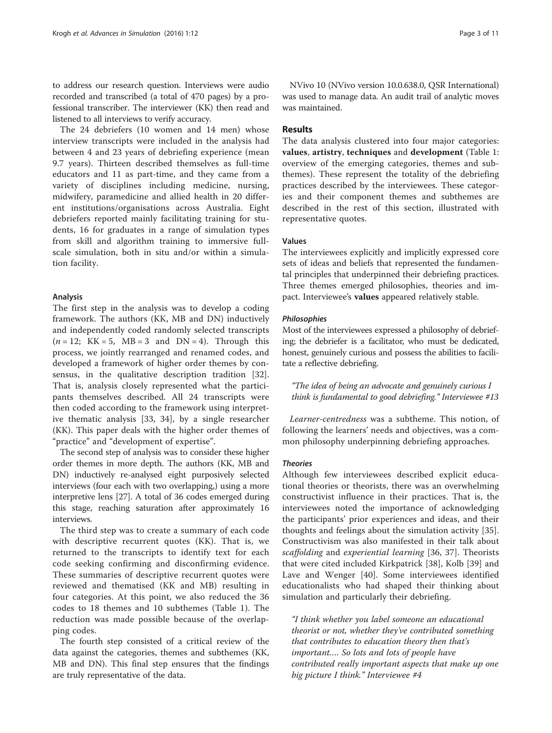to address our research question. Interviews were audio recorded and transcribed (a total of 470 pages) by a professional transcriber. The interviewer (KK) then read and listened to all interviews to verify accuracy.

The 24 debriefers (10 women and 14 men) whose interview transcripts were included in the analysis had between 4 and 23 years of debriefing experience (mean 9.7 years). Thirteen described themselves as full-time educators and 11 as part-time, and they came from a variety of disciplines including medicine, nursing, midwifery, paramedicine and allied health in 20 different institutions/organisations across Australia. Eight debriefers reported mainly facilitating training for students, 16 for graduates in a range of simulation types from skill and algorithm training to immersive fullscale simulation, both in situ and/or within a simulation facility.

#### Analysis

The first step in the analysis was to develop a coding framework. The authors (KK, MB and DN) inductively and independently coded randomly selected transcripts  $(n = 12; KK = 5, MB = 3 and DN = 4)$ . Through this process, we jointly rearranged and renamed codes, and developed a framework of higher order themes by consensus, in the qualitative description tradition [\[32](#page-10-0)]. That is, analysis closely represented what the participants themselves described. All 24 transcripts were then coded according to the framework using interpretive thematic analysis [[33, 34](#page-10-0)], by a single researcher (KK). This paper deals with the higher order themes of "practice" and "development of expertise".

The second step of analysis was to consider these higher order themes in more depth. The authors (KK, MB and DN) inductively re-analysed eight purposively selected interviews (four each with two overlapping,) using a more interpretive lens [\[27\]](#page-10-0). A total of 36 codes emerged during this stage, reaching saturation after approximately 16 interviews.

The third step was to create a summary of each code with descriptive recurrent quotes (KK). That is, we returned to the transcripts to identify text for each code seeking confirming and disconfirming evidence. These summaries of descriptive recurrent quotes were reviewed and thematised (KK and MB) resulting in four categories. At this point, we also reduced the 36 codes to 18 themes and 10 subthemes (Table [1](#page-3-0)). The reduction was made possible because of the overlapping codes.

The fourth step consisted of a critical review of the data against the categories, themes and subthemes (KK, MB and DN). This final step ensures that the findings are truly representative of the data.

NVivo 10 (NVivo version 10.0.638.0, QSR International) was used to manage data. An audit trail of analytic moves was maintained.

## Results

The data analysis clustered into four major categories: values, artistry, techniques and development (Table [1](#page-3-0): overview of the emerging categories, themes and subthemes). These represent the totality of the debriefing practices described by the interviewees. These categories and their component themes and subthemes are described in the rest of this section, illustrated with representative quotes.

#### Values

The interviewees explicitly and implicitly expressed core sets of ideas and beliefs that represented the fundamental principles that underpinned their debriefing practices. Three themes emerged philosophies, theories and impact. Interviewee's values appeared relatively stable.

#### Philosophies

Most of the interviewees expressed a philosophy of debriefing; the debriefer is a facilitator, who must be dedicated, honest, genuinely curious and possess the abilities to facilitate a reflective debriefing.

"The idea of being an advocate and genuinely curious I think is fundamental to good debriefing." Interviewee #13

Learner-centredness was a subtheme. This notion, of following the learners' needs and objectives, was a common philosophy underpinning debriefing approaches.

#### **Theories**

Although few interviewees described explicit educational theories or theorists, there was an overwhelming constructivist influence in their practices. That is, the interviewees noted the importance of acknowledging the participants' prior experiences and ideas, and their thoughts and feelings about the simulation activity [\[35](#page-10-0)]. Constructivism was also manifested in their talk about scaffolding and experiential learning [[36, 37](#page-10-0)]. Theorists that were cited included Kirkpatrick [[38](#page-10-0)], Kolb [[39](#page-10-0)] and Lave and Wenger [\[40](#page-10-0)]. Some interviewees identified educationalists who had shaped their thinking about simulation and particularly their debriefing.

"I think whether you label someone an educational theorist or not, whether they've contributed something that contributes to education theory then that's important…. So lots and lots of people have contributed really important aspects that make up one big picture I think." Interviewee #4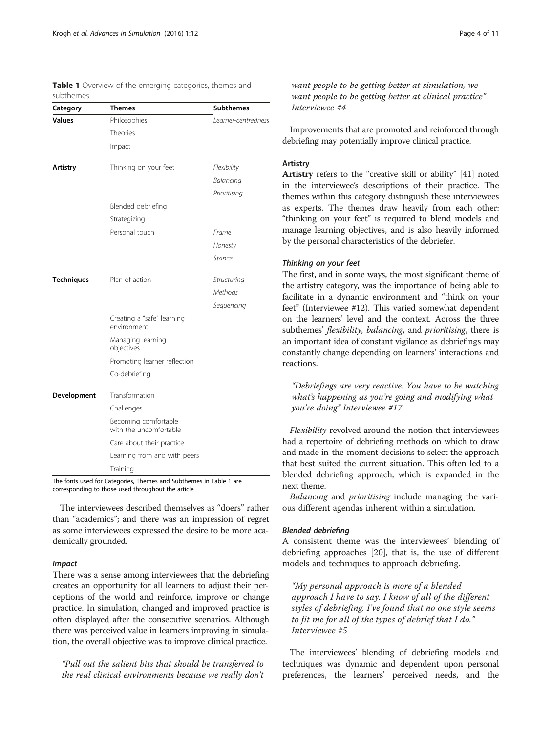<span id="page-3-0"></span>

|           |  | Table 1 Overview of the emerging categories, themes and |  |
|-----------|--|---------------------------------------------------------|--|
| subthemes |  |                                                         |  |

| Category          | <b>Themes</b>                                  | <b>Subthemes</b>    |
|-------------------|------------------------------------------------|---------------------|
| Values            | Philosophies                                   | Learner-centredness |
|                   | <b>Theories</b>                                |                     |
|                   | Impact                                         |                     |
| <b>Artistry</b>   | Thinking on your feet                          | Flexibility         |
|                   |                                                | Balancing           |
|                   |                                                | Prioritising        |
|                   | Blended debriefing                             |                     |
|                   | Strategizing                                   |                     |
|                   | Personal touch                                 | Frame               |
|                   |                                                | Honesty             |
|                   |                                                | <b>Stance</b>       |
| <b>Techniques</b> | Plan of action                                 | Structuring         |
|                   |                                                | Methods             |
|                   |                                                | Sequencing          |
|                   | Creating a "safe" learning<br>environment      |                     |
|                   | Managing learning<br>objectives                |                     |
|                   | Promoting learner reflection                   |                     |
|                   | Co-debriefing                                  |                     |
| Development       | Transformation                                 |                     |
|                   | Challenges                                     |                     |
|                   | Becoming comfortable<br>with the uncomfortable |                     |
|                   | Care about their practice                      |                     |
|                   | Learning from and with peers                   |                     |
|                   | Training                                       |                     |

The fonts used for Categories, Themes and Subthemes in Table 1 are corresponding to those used throughout the article

The interviewees described themselves as "doers" rather than "academics"; and there was an impression of regret as some interviewees expressed the desire to be more academically grounded.

#### Impact

There was a sense among interviewees that the debriefing creates an opportunity for all learners to adjust their perceptions of the world and reinforce, improve or change practice. In simulation, changed and improved practice is often displayed after the consecutive scenarios. Although there was perceived value in learners improving in simulation, the overall objective was to improve clinical practice.

"Pull out the salient bits that should be transferred to the real clinical environments because we really don't want people to be getting better at simulation, we want people to be getting better at clinical practice" Interviewee #4

Improvements that are promoted and reinforced through debriefing may potentially improve clinical practice.

#### Artistry

Artistry refers to the "creative skill or ability" [\[41\]](#page-10-0) noted in the interviewee's descriptions of their practice. The themes within this category distinguish these interviewees as experts. The themes draw heavily from each other: "thinking on your feet" is required to blend models and manage learning objectives, and is also heavily informed by the personal characteristics of the debriefer.

#### Thinking on your feet

The first, and in some ways, the most significant theme of the artistry category, was the importance of being able to facilitate in a dynamic environment and "think on your feet" (Interviewee #12). This varied somewhat dependent on the learners' level and the context. Across the three subthemes' flexibility, balancing, and prioritising, there is an important idea of constant vigilance as debriefings may constantly change depending on learners' interactions and reactions.

"Debriefings are very reactive. You have to be watching what's happening as you're going and modifying what you're doing" Interviewee #17

Flexibility revolved around the notion that interviewees had a repertoire of debriefing methods on which to draw and made in-the-moment decisions to select the approach that best suited the current situation. This often led to a blended debriefing approach, which is expanded in the next theme.

Balancing and prioritising include managing the various different agendas inherent within a simulation.

#### Blended debriefing

A consistent theme was the interviewees' blending of debriefing approaches [\[20](#page-10-0)], that is, the use of different models and techniques to approach debriefing.

"My personal approach is more of a blended approach I have to say. I know of all of the different styles of debriefing. I've found that no one style seems to fit me for all of the types of debrief that I do." Interviewee #5

The interviewees' blending of debriefing models and techniques was dynamic and dependent upon personal preferences, the learners' perceived needs, and the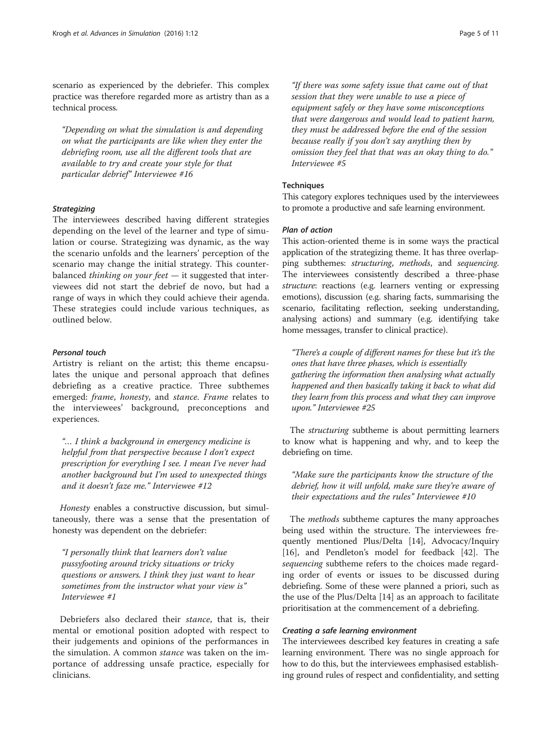scenario as experienced by the debriefer. This complex practice was therefore regarded more as artistry than as a technical process.

"Depending on what the simulation is and depending on what the participants are like when they enter the debriefing room, use all the different tools that are available to try and create your style for that particular debrief" Interviewee #16

#### **Strategizing**

The interviewees described having different strategies depending on the level of the learner and type of simulation or course. Strategizing was dynamic, as the way the scenario unfolds and the learners' perception of the scenario may change the initial strategy. This counterbalanced thinking on your feet  $-$  it suggested that interviewees did not start the debrief de novo, but had a range of ways in which they could achieve their agenda. These strategies could include various techniques, as outlined below.

#### Personal touch

Artistry is reliant on the artist; this theme encapsulates the unique and personal approach that defines debriefing as a creative practice. Three subthemes emerged: frame, honesty, and stance. Frame relates to the interviewees' background, preconceptions and experiences.

"… I think a background in emergency medicine is helpful from that perspective because I don't expect prescription for everything I see. I mean I've never had another background but I'm used to unexpected things and it doesn't faze me." Interviewee #12

Honesty enables a constructive discussion, but simultaneously, there was a sense that the presentation of honesty was dependent on the debriefer:

"I personally think that learners don't value pussyfooting around tricky situations or tricky questions or answers. I think they just want to hear sometimes from the instructor what your view is" Interviewee #1

Debriefers also declared their stance, that is, their mental or emotional position adopted with respect to their judgements and opinions of the performances in the simulation. A common stance was taken on the importance of addressing unsafe practice, especially for clinicians.

"If there was some safety issue that came out of that session that they were unable to use a piece of equipment safely or they have some misconceptions that were dangerous and would lead to patient harm, they must be addressed before the end of the session because really if you don't say anything then by omission they feel that that was an okay thing to do." Interviewee #5

## **Techniques**

This category explores techniques used by the interviewees to promote a productive and safe learning environment.

#### Plan of action

This action-oriented theme is in some ways the practical application of the strategizing theme. It has three overlapping subthemes: *structuring*, *methods*, and *sequencing*. The interviewees consistently described a three-phase structure: reactions (e.g. learners venting or expressing emotions), discussion (e.g. sharing facts, summarising the scenario, facilitating reflection, seeking understanding, analysing actions) and summary (e.g. identifying take home messages, transfer to clinical practice).

"There's a couple of different names for these but it's the ones that have three phases, which is essentially gathering the information then analysing what actually happened and then basically taking it back to what did they learn from this process and what they can improve upon." Interviewee #25

The structuring subtheme is about permitting learners to know what is happening and why, and to keep the debriefing on time.

"Make sure the participants know the structure of the debrief, how it will unfold, make sure they're aware of their expectations and the rules" Interviewee #10

The *methods* subtheme captures the many approaches being used within the structure. The interviewees frequently mentioned Plus/Delta [\[14\]](#page-9-0), Advocacy/Inquiry [[16\]](#page-9-0), and Pendleton's model for feedback [[42](#page-10-0)]. The sequencing subtheme refers to the choices made regarding order of events or issues to be discussed during debriefing. Some of these were planned a priori, such as the use of the Plus/Delta [\[14](#page-9-0)] as an approach to facilitate prioritisation at the commencement of a debriefing.

## Creating a safe learning environment

The interviewees described key features in creating a safe learning environment. There was no single approach for how to do this, but the interviewees emphasised establishing ground rules of respect and confidentiality, and setting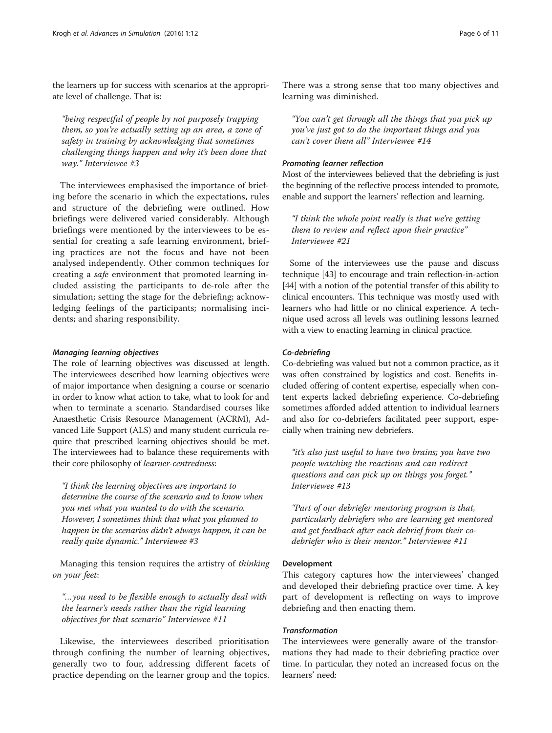the learners up for success with scenarios at the appropriate level of challenge. That is:

"being respectful of people by not purposely trapping them, so you're actually setting up an area, a zone of safety in training by acknowledging that sometimes challenging things happen and why it's been done that way." Interviewee #3

The interviewees emphasised the importance of briefing before the scenario in which the expectations, rules and structure of the debriefing were outlined. How briefings were delivered varied considerably. Although briefings were mentioned by the interviewees to be essential for creating a safe learning environment, briefing practices are not the focus and have not been analysed independently. Other common techniques for creating a safe environment that promoted learning included assisting the participants to de-role after the simulation; setting the stage for the debriefing; acknowledging feelings of the participants; normalising incidents; and sharing responsibility.

#### Managing learning objectives

The role of learning objectives was discussed at length. The interviewees described how learning objectives were of major importance when designing a course or scenario in order to know what action to take, what to look for and when to terminate a scenario. Standardised courses like Anaesthetic Crisis Resource Management (ACRM), Advanced Life Support (ALS) and many student curricula require that prescribed learning objectives should be met. The interviewees had to balance these requirements with their core philosophy of learner-centredness:

"I think the learning objectives are important to determine the course of the scenario and to know when you met what you wanted to do with the scenario. However, I sometimes think that what you planned to happen in the scenarios didn't always happen, it can be really quite dynamic." Interviewee #3

Managing this tension requires the artistry of thinking on your feet:

"…you need to be flexible enough to actually deal with the learner's needs rather than the rigid learning objectives for that scenario" Interviewee #11

Likewise, the interviewees described prioritisation through confining the number of learning objectives, generally two to four, addressing different facets of practice depending on the learner group and the topics.

There was a strong sense that too many objectives and learning was diminished.

"You can't get through all the things that you pick up you've just got to do the important things and you can't cover them all" Interviewee #14

#### Promoting learner reflection

Most of the interviewees believed that the debriefing is just the beginning of the reflective process intended to promote, enable and support the learners' reflection and learning.

"I think the whole point really is that we're getting them to review and reflect upon their practice" Interviewee #21

Some of the interviewees use the pause and discuss technique [\[43](#page-10-0)] to encourage and train reflection-in-action [[44](#page-10-0)] with a notion of the potential transfer of this ability to clinical encounters. This technique was mostly used with learners who had little or no clinical experience. A technique used across all levels was outlining lessons learned with a view to enacting learning in clinical practice.

#### Co-debriefing

Co-debriefing was valued but not a common practice, as it was often constrained by logistics and cost. Benefits included offering of content expertise, especially when content experts lacked debriefing experience. Co-debriefing sometimes afforded added attention to individual learners and also for co-debriefers facilitated peer support, especially when training new debriefers.

"it's also just useful to have two brains; you have two people watching the reactions and can redirect questions and can pick up on things you forget." Interviewee #13

"Part of our debriefer mentoring program is that, particularly debriefers who are learning get mentored and get feedback after each debrief from their codebriefer who is their mentor." Interviewee #11

#### Development

This category captures how the interviewees' changed and developed their debriefing practice over time. A key part of development is reflecting on ways to improve debriefing and then enacting them.

## **Transformation**

The interviewees were generally aware of the transformations they had made to their debriefing practice over time. In particular, they noted an increased focus on the learners' need: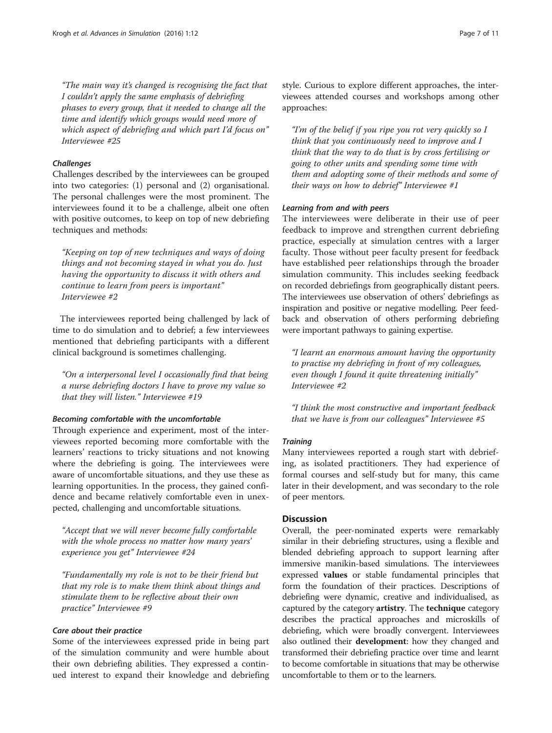"The main way it's changed is recognising the fact that I couldn't apply the same emphasis of debriefing phases to every group, that it needed to change all the time and identify which groups would need more of which aspect of debriefing and which part I'd focus on" Interviewee #25

#### **Challenges**

Challenges described by the interviewees can be grouped into two categories: (1) personal and (2) organisational. The personal challenges were the most prominent. The interviewees found it to be a challenge, albeit one often with positive outcomes, to keep on top of new debriefing techniques and methods:

"Keeping on top of new techniques and ways of doing things and not becoming stayed in what you do. Just having the opportunity to discuss it with others and continue to learn from peers is important" Interviewee #2

The interviewees reported being challenged by lack of time to do simulation and to debrief; a few interviewees mentioned that debriefing participants with a different clinical background is sometimes challenging.

"On a interpersonal level I occasionally find that being a nurse debriefing doctors I have to prove my value so that they will listen." Interviewee #19

## Becoming comfortable with the uncomfortable

Through experience and experiment, most of the interviewees reported becoming more comfortable with the learners' reactions to tricky situations and not knowing where the debriefing is going. The interviewees were aware of uncomfortable situations, and they use these as learning opportunities. In the process, they gained confidence and became relatively comfortable even in unexpected, challenging and uncomfortable situations.

"Accept that we will never become fully comfortable with the whole process no matter how many years' experience you get" Interviewee #24

"Fundamentally my role is not to be their friend but that my role is to make them think about things and stimulate them to be reflective about their own practice" Interviewee #9

## Care about their practice

Some of the interviewees expressed pride in being part of the simulation community and were humble about their own debriefing abilities. They expressed a continued interest to expand their knowledge and debriefing

style. Curious to explore different approaches, the interviewees attended courses and workshops among other approaches:

"I'm of the belief if you ripe you rot very quickly so I think that you continuously need to improve and I think that the way to do that is by cross fertilising or going to other units and spending some time with them and adopting some of their methods and some of their ways on how to debrief" Interviewee  $#1$ 

## Learning from and with peers

The interviewees were deliberate in their use of peer feedback to improve and strengthen current debriefing practice, especially at simulation centres with a larger faculty. Those without peer faculty present for feedback have established peer relationships through the broader simulation community. This includes seeking feedback on recorded debriefings from geographically distant peers. The interviewees use observation of others' debriefings as inspiration and positive or negative modelling. Peer feedback and observation of others performing debriefing were important pathways to gaining expertise.

"I learnt an enormous amount having the opportunity to practise my debriefing in front of my colleagues, even though I found it quite threatening initially" Interviewee #2

"I think the most constructive and important feedback that we have is from our colleagues" Interviewee #5

#### **Training**

Many interviewees reported a rough start with debriefing, as isolated practitioners. They had experience of formal courses and self-study but for many, this came later in their development, and was secondary to the role of peer mentors.

# **Discussion**

Overall, the peer-nominated experts were remarkably similar in their debriefing structures, using a flexible and blended debriefing approach to support learning after immersive manikin-based simulations. The interviewees expressed values or stable fundamental principles that form the foundation of their practices. Descriptions of debriefing were dynamic, creative and individualised, as captured by the category **artistry**. The **technique** category describes the practical approaches and microskills of debriefing, which were broadly convergent. Interviewees also outlined their **development**: how they changed and transformed their debriefing practice over time and learnt to become comfortable in situations that may be otherwise uncomfortable to them or to the learners.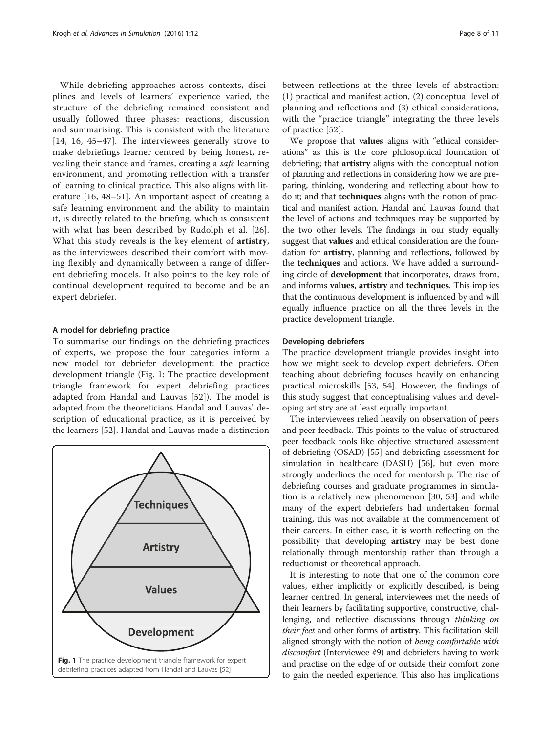While debriefing approaches across contexts, disciplines and levels of learners' experience varied, the structure of the debriefing remained consistent and usually followed three phases: reactions, discussion and summarising. This is consistent with the literature [[14](#page-9-0), [16](#page-9-0), [45](#page-10-0)–[47\]](#page-10-0). The interviewees generally strove to make debriefings learner centred by being honest, revealing their stance and frames, creating a safe learning environment, and promoting reflection with a transfer of learning to clinical practice. This also aligns with literature [[16,](#page-9-0) [48](#page-10-0)–[51\]](#page-10-0). An important aspect of creating a safe learning environment and the ability to maintain it, is directly related to the briefing, which is consistent with what has been described by Rudolph et al. [[26](#page-10-0)]. What this study reveals is the key element of artistry, as the interviewees described their comfort with moving flexibly and dynamically between a range of different debriefing models. It also points to the key role of continual development required to become and be an expert debriefer.

#### A model for debriefing practice

To summarise our findings on the debriefing practices of experts, we propose the four categories inform a new model for debriefer development: the practice development triangle (Fig. 1: The practice development triangle framework for expert debriefing practices adapted from Handal and Lauvas [\[52\]](#page-10-0)). The model is adapted from the theoreticians Handal and Lauvas' description of educational practice, as it is perceived by the learners [[52](#page-10-0)]. Handal and Lauvas made a distinction



between reflections at the three levels of abstraction: (1) practical and manifest action, (2) conceptual level of planning and reflections and (3) ethical considerations, with the "practice triangle" integrating the three levels of practice [[52](#page-10-0)].

We propose that values aligns with "ethical considerations" as this is the core philosophical foundation of debriefing; that artistry aligns with the conceptual notion of planning and reflections in considering how we are preparing, thinking, wondering and reflecting about how to do it; and that techniques aligns with the notion of practical and manifest action. Handal and Lauvas found that the level of actions and techniques may be supported by the two other levels. The findings in our study equally suggest that **values** and ethical consideration are the foundation for artistry, planning and reflections, followed by the techniques and actions. We have added a surrounding circle of development that incorporates, draws from, and informs values, artistry and techniques. This implies that the continuous development is influenced by and will equally influence practice on all the three levels in the practice development triangle.

#### Developing debriefers

The practice development triangle provides insight into how we might seek to develop expert debriefers. Often teaching about debriefing focuses heavily on enhancing practical microskills [\[53](#page-10-0), [54\]](#page-10-0). However, the findings of this study suggest that conceptualising values and developing artistry are at least equally important.

The interviewees relied heavily on observation of peers and peer feedback. This points to the value of structured peer feedback tools like objective structured assessment of debriefing (OSAD) [[55\]](#page-10-0) and debriefing assessment for simulation in healthcare (DASH) [\[56](#page-10-0)], but even more strongly underlines the need for mentorship. The rise of debriefing courses and graduate programmes in simulation is a relatively new phenomenon [\[30](#page-10-0), [53\]](#page-10-0) and while many of the expert debriefers had undertaken formal training, this was not available at the commencement of their careers. In either case, it is worth reflecting on the possibility that developing artistry may be best done relationally through mentorship rather than through a reductionist or theoretical approach.

It is interesting to note that one of the common core values, either implicitly or explicitly described, is being learner centred. In general, interviewees met the needs of their learners by facilitating supportive, constructive, challenging, and reflective discussions through thinking on their feet and other forms of artistry. This facilitation skill aligned strongly with the notion of being comfortable with discomfort (Interviewee #9) and debriefers having to work and practise on the edge of or outside their comfort zone to gain the needed experience. This also has implications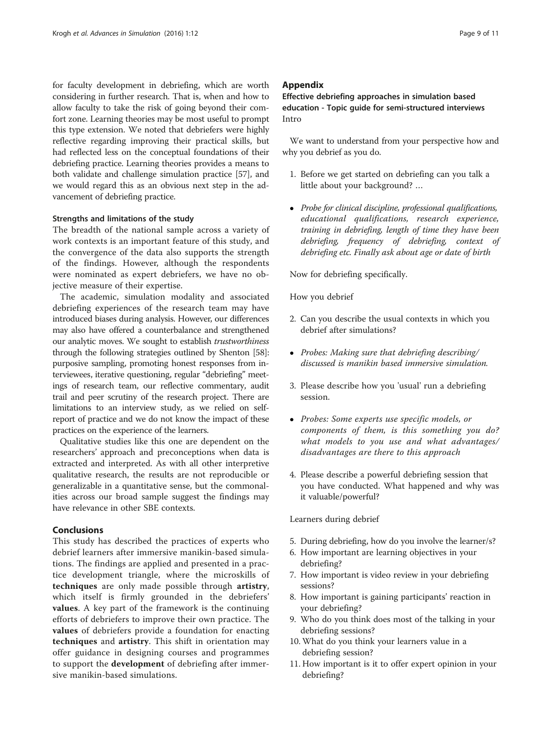<span id="page-8-0"></span>for faculty development in debriefing, which are worth considering in further research. That is, when and how to allow faculty to take the risk of going beyond their comfort zone. Learning theories may be most useful to prompt this type extension. We noted that debriefers were highly reflective regarding improving their practical skills, but had reflected less on the conceptual foundations of their debriefing practice. Learning theories provides a means to both validate and challenge simulation practice [\[57\]](#page-10-0), and we would regard this as an obvious next step in the advancement of debriefing practice.

#### Strengths and limitations of the study

The breadth of the national sample across a variety of work contexts is an important feature of this study, and the convergence of the data also supports the strength of the findings. However, although the respondents were nominated as expert debriefers, we have no objective measure of their expertise.

The academic, simulation modality and associated debriefing experiences of the research team may have introduced biases during analysis. However, our differences may also have offered a counterbalance and strengthened our analytic moves. We sought to establish trustworthiness through the following strategies outlined by Shenton [\[58](#page-10-0)]: purposive sampling, promoting honest responses from interviewees, iterative questioning, regular "debriefing" meetings of research team, our reflective commentary, audit trail and peer scrutiny of the research project. There are limitations to an interview study, as we relied on selfreport of practice and we do not know the impact of these practices on the experience of the learners.

Qualitative studies like this one are dependent on the researchers' approach and preconceptions when data is extracted and interpreted. As with all other interpretive qualitative research, the results are not reproducible or generalizable in a quantitative sense, but the commonalities across our broad sample suggest the findings may have relevance in other SBE contexts.

#### Conclusions

This study has described the practices of experts who debrief learners after immersive manikin-based simulations. The findings are applied and presented in a practice development triangle, where the microskills of techniques are only made possible through artistry, which itself is firmly grounded in the debriefers' values. A key part of the framework is the continuing efforts of debriefers to improve their own practice. The values of debriefers provide a foundation for enacting techniques and artistry. This shift in orientation may offer guidance in designing courses and programmes to support the development of debriefing after immersive manikin-based simulations.

# Appendix

Effective debriefing approaches in simulation based education - Topic guide for semi-structured interviews Intro

We want to understand from your perspective how and why you debrief as you do.

- 1. Before we get started on debriefing can you talk a little about your background? …
- Probe for clinical discipline, professional qualifications, educational qualifications, research experience, training in debriefing, length of time they have been debriefing, frequency of debriefing, context of debriefing etc. Finally ask about age or date of birth

Now for debriefing specifically.

How you debrief

- 2. Can you describe the usual contexts in which you debrief after simulations?
- Probes: Making sure that debriefing describing/ discussed is manikin based immersive simulation.
- 3. Please describe how you 'usual' run a debriefing session.
- Probes: Some experts use specific models, or components of them, is this something you do? what models to you use and what advantages/ disadvantages are there to this approach
- 4. Please describe a powerful debriefing session that you have conducted. What happened and why was it valuable/powerful?

Learners during debrief

- 5. During debriefing, how do you involve the learner/s?
- 6. How important are learning objectives in your debriefing?
- 7. How important is video review in your debriefing sessions?
- 8. How important is gaining participants' reaction in your debriefing?
- 9. Who do you think does most of the talking in your debriefing sessions?
- 10. What do you think your learners value in a debriefing session?
- 11. How important is it to offer expert opinion in your debriefing?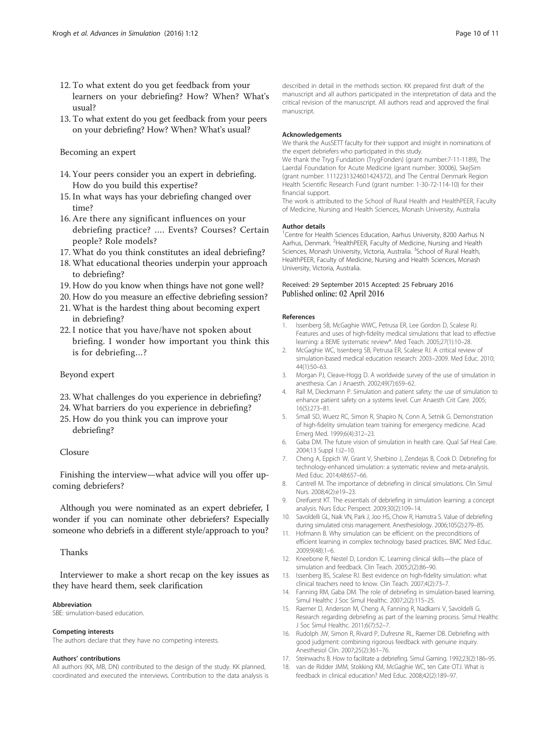- <span id="page-9-0"></span>12. To what extent do you get feedback from your learners on your debriefing? How? When? What's usual?
- 13. To what extent do you get feedback from your peers on your debriefing? How? When? What's usual?

## Becoming an expert

- 14. Your peers consider you an expert in debriefing. How do you build this expertise?
- 15. In what ways has your debriefing changed over time?
- 16. Are there any significant influences on your debriefing practice? …. Events? Courses? Certain people? Role models?
- 17. What do you think constitutes an ideal debriefing?
- 18. What educational theories underpin your approach to debriefing?
- 19. How do you know when things have not gone well?
- 20. How do you measure an effective debriefing session?
- 21. What is the hardest thing about becoming expert in debriefing?
- 22. I notice that you have/have not spoken about briefing. I wonder how important you think this is for debriefing…?

#### Beyond expert

- 23. What challenges do you experience in debriefing?
- 24. What barriers do you experience in debriefing?
- 25. How do you think you can improve your debriefing?

## Closure

Finishing the interview—what advice will you offer upcoming debriefers?

Although you were nominated as an expert debriefer, I wonder if you can nominate other debriefers? Especially someone who debriefs in a different style/approach to you?

#### Thanks

Interviewer to make a short recap on the key issues as they have heard them, seek clarification

#### Abbreviation

SBE: simulation-based education.

#### Competing interests

The authors declare that they have no competing interests.

#### Authors' contributions

All authors (KK, MB, DN) contributed to the design of the study. KK planned, coordinated and executed the interviews. Contribution to the data analysis is described in detail in the methods section. KK prepared first draft of the manuscript and all authors participated in the interpretation of data and the critical revision of the manuscript. All authors read and approved the final manuscript.

#### Acknowledgements

We thank the AusSETT faculty for their support and insight in nominations of the expert debriefers who participated in this study.

We thank the Tryg Fundation (TrygFonden) (grant number:7-11-1189), The Laerdal Foundation for Acute Medicine (grant number: 30006), SkejSim (grant number: 1112231324601424372), and The Central Denmark Region Health Scientific Research Fund (grant number: 1-30-72-114-10) for their financial support.

The work is attributed to the School of Rural Health and HealthPEER, Faculty of Medicine, Nursing and Health Sciences, Monash University, Australia

#### Author details

<sup>1</sup> Centre for Health Sciences Education, Aarhus University, 8200 Aarhus N Aarhus, Denmark. <sup>2</sup> Health PEER, Faculty of Medicine, Nursing and Health Sciences, Monash University, Victoria, Australia. <sup>3</sup>School of Rural Health, HealthPEER, Faculty of Medicine, Nursing and Health Sciences, Monash University, Victoria, Australia.

#### Received: 29 September 2015 Accepted: 25 February 2016 Published online: 02 April 2016

#### References

- 1. Issenberg SB, McGaghie WWC, Petrusa ER, Lee Gordon D, Scalese RJ. Features and uses of high-fidelity medical simulations that lead to effective learning: a BEME systematic review\*. Med Teach. 2005;27(1):10–28.
- 2. McGaghie WC, Issenberg SB, Petrusa ER, Scalese RJ. A critical review of simulation-based medical education research: 2003–2009. Med Educ. 2010; 44(1):50–63.
- 3. Morgan PJ, Cleave-Hogg D. A worldwide survey of the use of simulation in anesthesia. Can J Anaesth. 2002;49(7):659–62.
- 4. Rall M, Dieckmann P. Simulation and patient safety: the use of simulation to enhance patient safety on a systems level. Curr Anaesth Crit Care. 2005; 16(5):273–81.
- 5. Small SD, Wuerz RC, Simon R, Shapiro N, Conn A, Setnik G. Demonstration of high-fidelity simulation team training for emergency medicine. Acad Emerg Med. 1999;6(4):312–23.
- 6. Gaba DM. The future vision of simulation in health care. Qual Saf Heal Care. 2004;13 Suppl 1:i2–10.
- 7. Cheng A, Eppich W, Grant V, Sherbino J, Zendejas B, Cook D. Debriefing for technology-enhanced simulation: a systematic review and meta-analysis. Med Educ. 2014;48:657–66.
- 8. Cantrell M. The importance of debriefing in clinical simulations. Clin Simul Nurs. 2008;4(2):e19–23.
- 9. Dreifuerst KT. The essentials of debriefing in simulation learning: a concept analysis. Nurs Educ Perspect. 2009;30(2):109–14.
- 10. Savoldelli GL, Naik VN, Park J, Joo HS, Chow R, Hamstra S. Value of debriefing during simulated crisis management. Anesthesiology. 2006;105(2):279–85.
- 11. Hofmann B. Why simulation can be efficient: on the preconditions of efficient learning in complex technology based practices. BMC Med Educ. 2009;9(48):1–6.
- 12. Kneebone R, Nestel D, London IC. Learning clinical skills—the place of simulation and feedback. Clin Teach. 2005;2(2):86–90.
- 13. Issenberg BS, Scalese RJ. Best evidence on high-fidelity simulation: what clinical teachers need to know. Clin Teach. 2007;4(2):73–7.
- 14. Fanning RM, Gaba DM. The role of debriefing in simulation-based learning. Simul Healthc J Soc Simul Healthc. 2007;2(2):115–25.
- 15. Raemer D, Anderson M, Cheng A, Fanning R, Nadkarni V, Savoldelli G. Research regarding debriefing as part of the learning process. Simul Healthc J Soc Simul Healthc. 2011;6(7):52–7.
- 16. Rudolph JW, Simon R, Rivard P, Dufresne RL, Raemer DB. Debriefing with good judgment: combining rigorous feedback with genuine inquiry. Anesthesiol Clin. 2007;25(2):361–76.
- 17. Steinwachs B. How to facilitate a debriefing. Simul Gaming. 1992;23(2):186–95.
- 18. van de Ridder JMM, Stokking KM, McGaghie WC, ten Cate OTJ. What is feedback in clinical education? Med Educ. 2008;42(2):189–97.